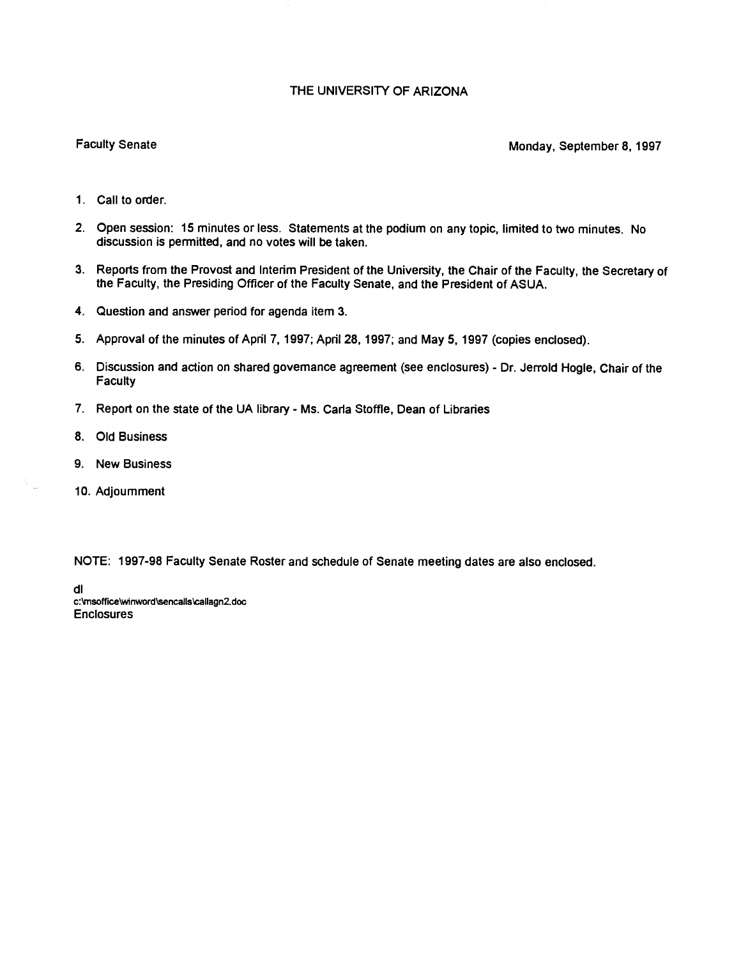## THE UNIVERSITY OF ARIZONA

## Faculty Senate Monday, September 8, 1997

- 1. Call to order.
- Open session: 15 minutes or less. Statements at the podium on any topic, limited to two minutes. No discussion is permitted, and no votes will be taken.
- Reports from the Provost and Interim President of the University, the Chair of the Faculty, the Secretary of the Faculty, the Presiding Officer of the Faculty Senate, and the President of ASUA.
- 4. Question and answer period for agenda item 3.
- Approval of the minutes of April 7, 1997; April 28, 1997; and May 5, 1997 (copies enclosed).
- Discussion and action on shared governance agreement (see enclosures) Dr. Jerrold Hogle, Chair of the **Faculty**
- 7. Report on the state of the UA library Ms. Carla Stoffle, Dean of Libraries
- 8. Old Business
- 9. New Business
- 10. Adjoumment

 $\mathcal{N}_{\rm{max}}$ 

NOTE: 1997-98 Faculty Senate Roster and schedule of Senate meeting dates are also enclosed.

dl c:\msoffice\winword\sencalis\callagn2.doc **Enclosures**